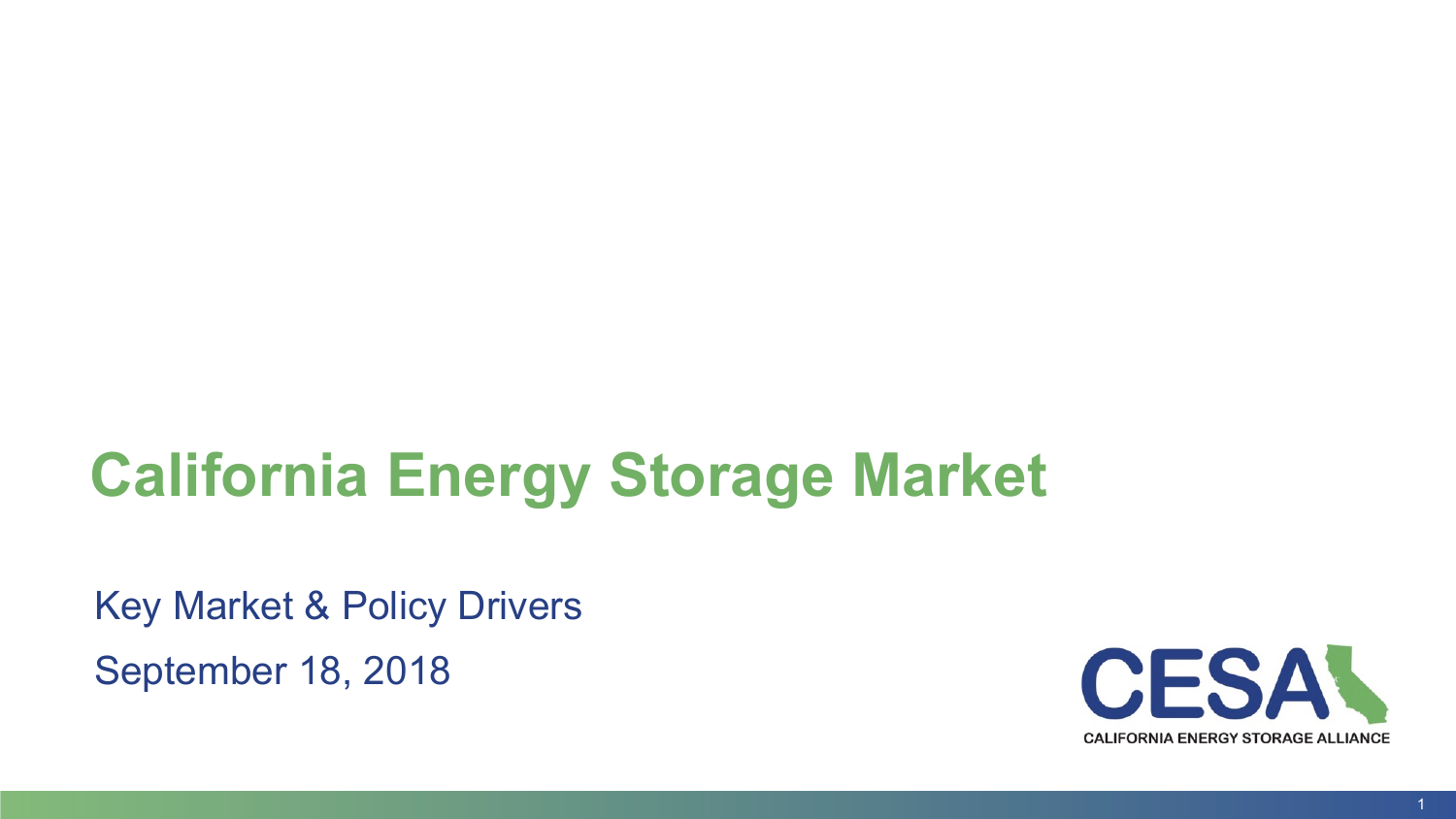# **California Energy Storage Market**

Key Market & Policy Drivers September 18, 2018

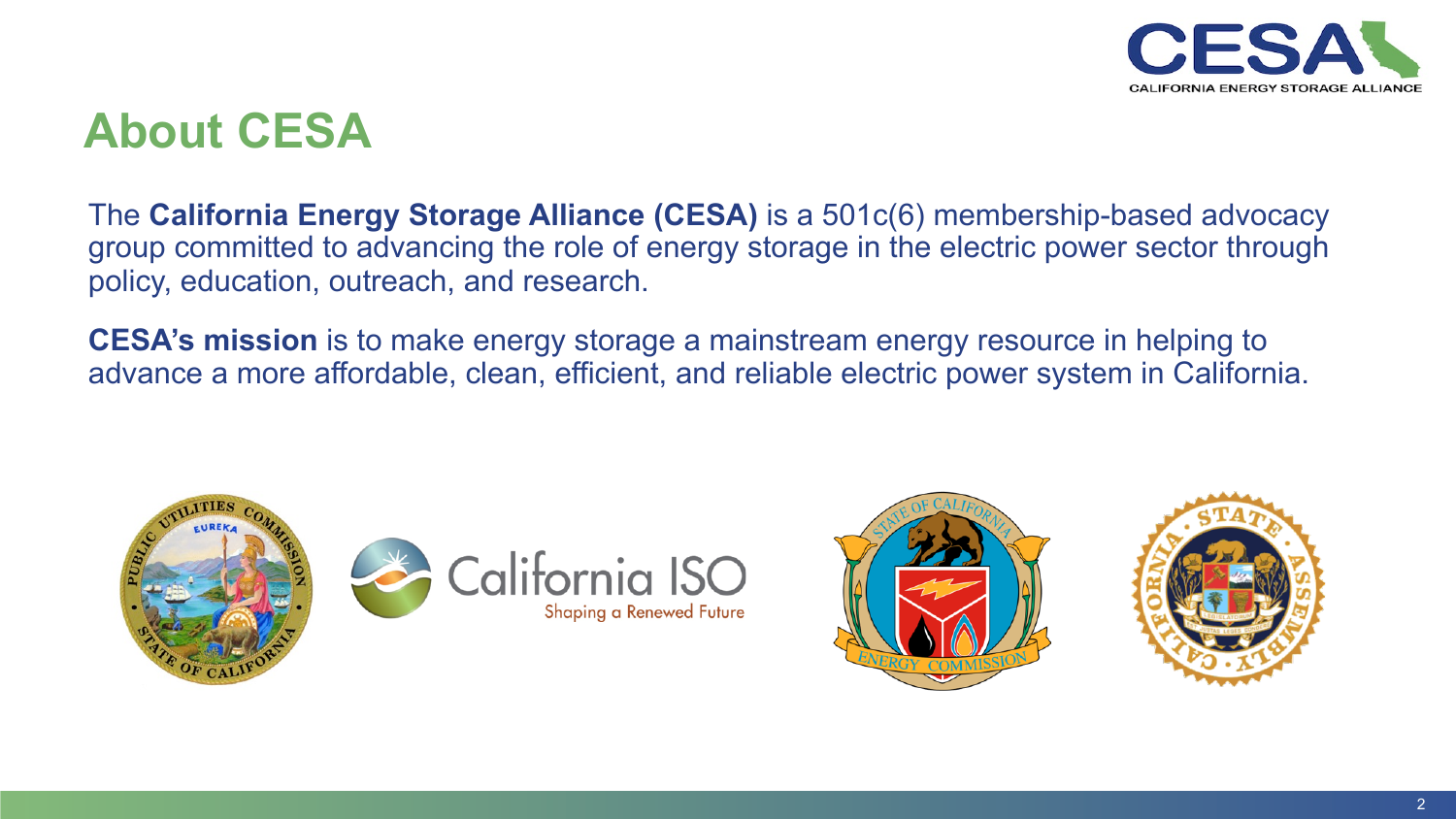

#### **About CESA**

The **California Energy Storage Alliance (CESA)** is a 501c(6) membership-based advocacy group committed to advancing the role of energy storage in the electric power sector through policy, education, outreach, and research.

**CESA's mission** is to make energy storage a mainstream energy resource in helping to advance a more affordable, clean, efficient, and reliable electric power system in California.









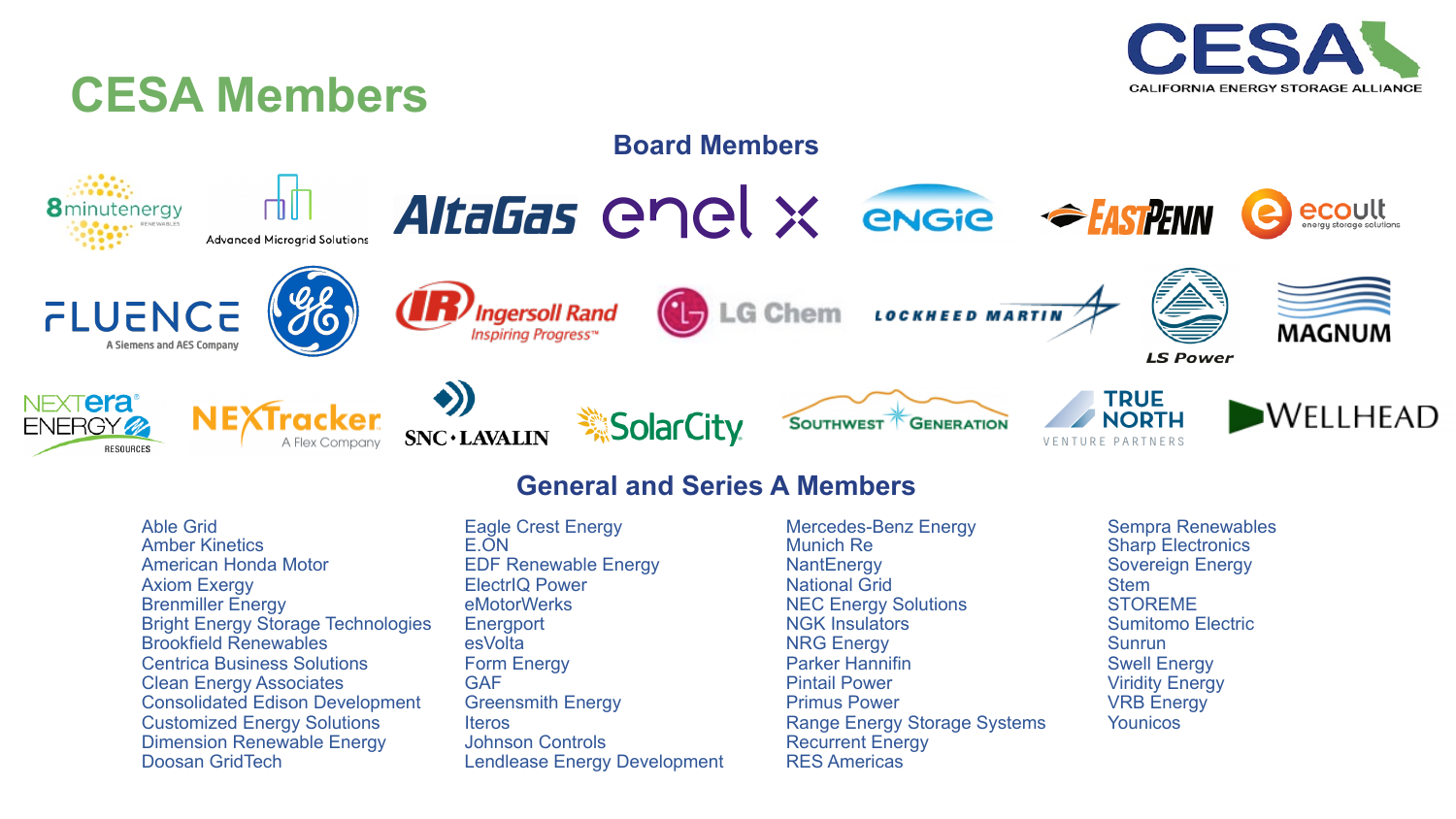

#### **CESA Members**



#### **General and Series A Members**

- Able Grid Amber Kinetics American Honda Motor Axiom Exergy Brenmiller Energy Bright Energy Storage Technologies Brookfield Renewables Centrica Business Solutions Clean Energy Associates Consolidated Edison Development Customized Energy Solutions Dimension Renewable Energy Doosan GridTech
- Eagle Crest Energy E.ON EDF Renewable Energy ElectrIQ Power eMotorWerks **Energport** esVolta Form Energy GAF Greensmith Energy Iteros Johnson Controls Lendlease Energy Development
- Mercedes-Benz Energy Munich Re **NantEnergy** National Grid NEC Energy Solutions NGK Insulators NRG Energy Parker Hannifin Pintail Power Primus Power Range Energy Storage Systems Recurrent Energy RES Americas
- Sempra Renewables Sharp Electronics Sovereign Energy Stem STOREME Sumitomo Electric **Sunrun** Swell Energy Viridity Energy VRB Energy **Younicos**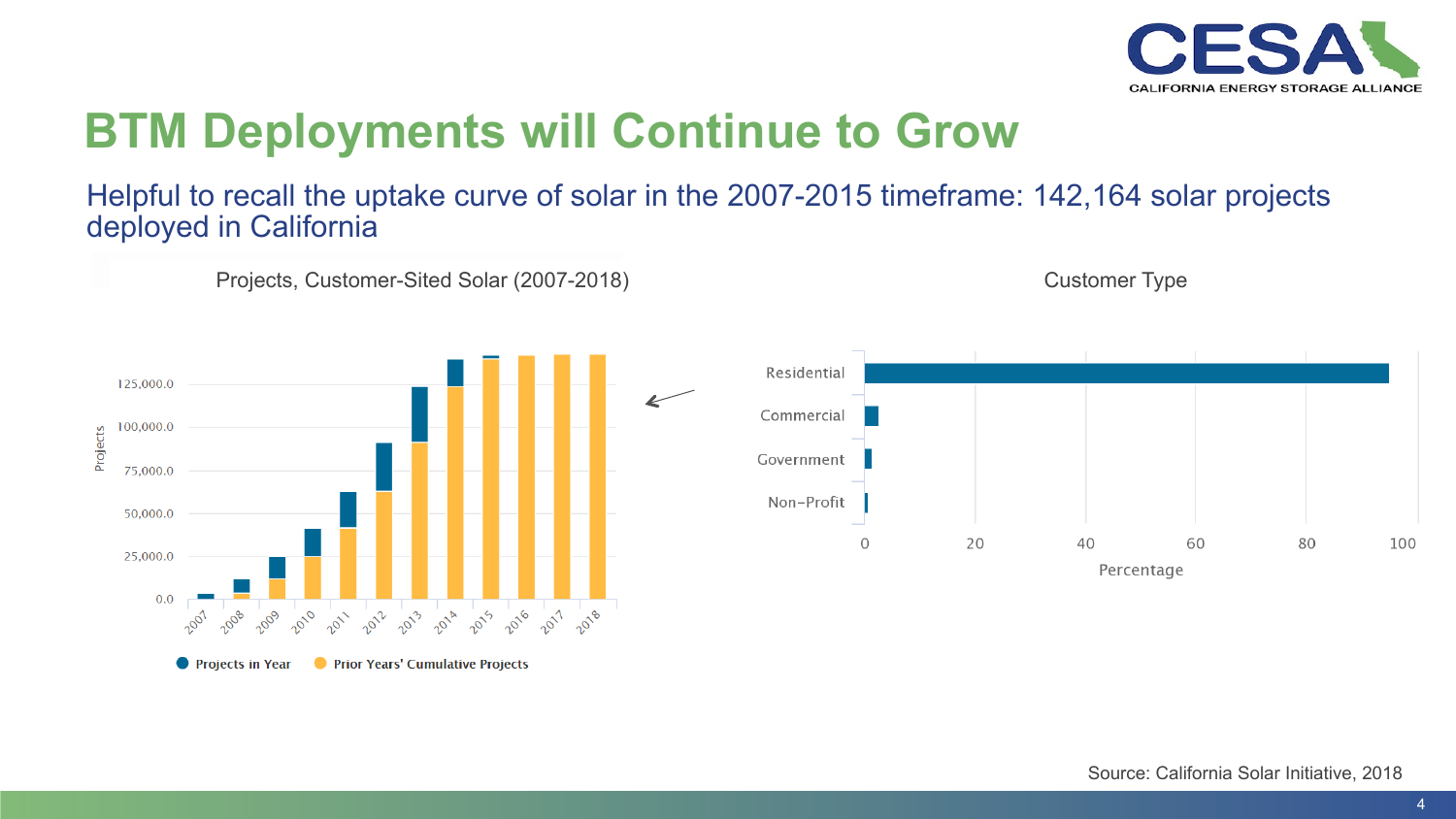

# **BTM Deployments will Continue to Grow**

#### Helpful to recall the uptake curve of solar in the 2007-2015 timeframe: 142,164 solar projects deployed in California







#### Customer Type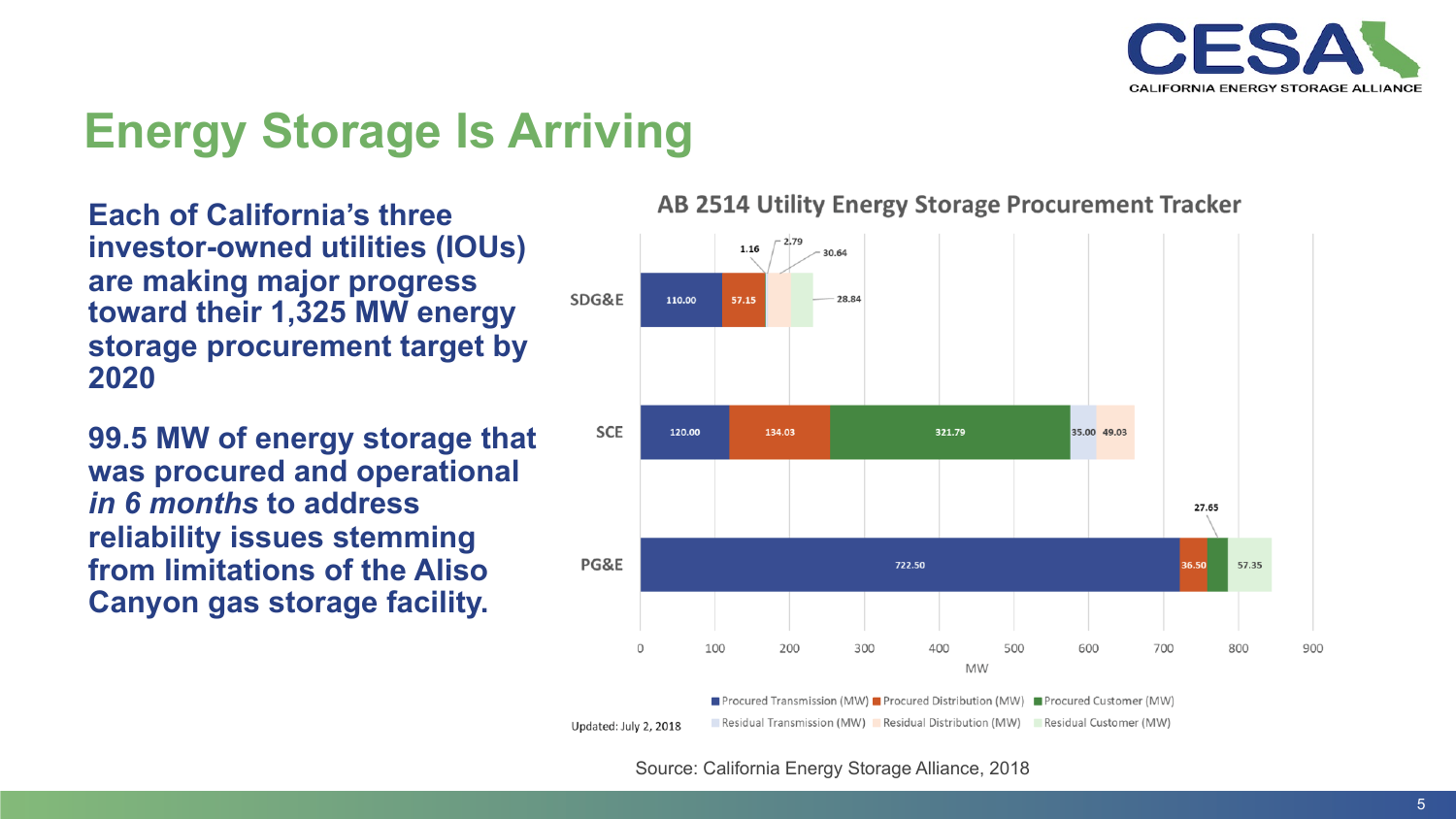

## **Energy Storage Is Arriving**

**Each of California's three investor-owned utilities (IOUs) are making major progress toward their 1,325 MW energy storage procurement target by 2020** 

**99.5 MW of energy storage that was procured and operational**  *in 6 months* **to address reliability issues stemming from limitations of the Aliso Canyon gas storage facility.** 

#### AB 2514 Utility Energy Storage Procurement Tracker



**Procured Transmission (MW)** Procured Distribution (MW) Procured Customer (MW) Residual Transmission (MW) Residual Distribution (MW) Residual Customer (MW)

Source: California Energy Storage Alliance, 2018

Updated: July 2, 2018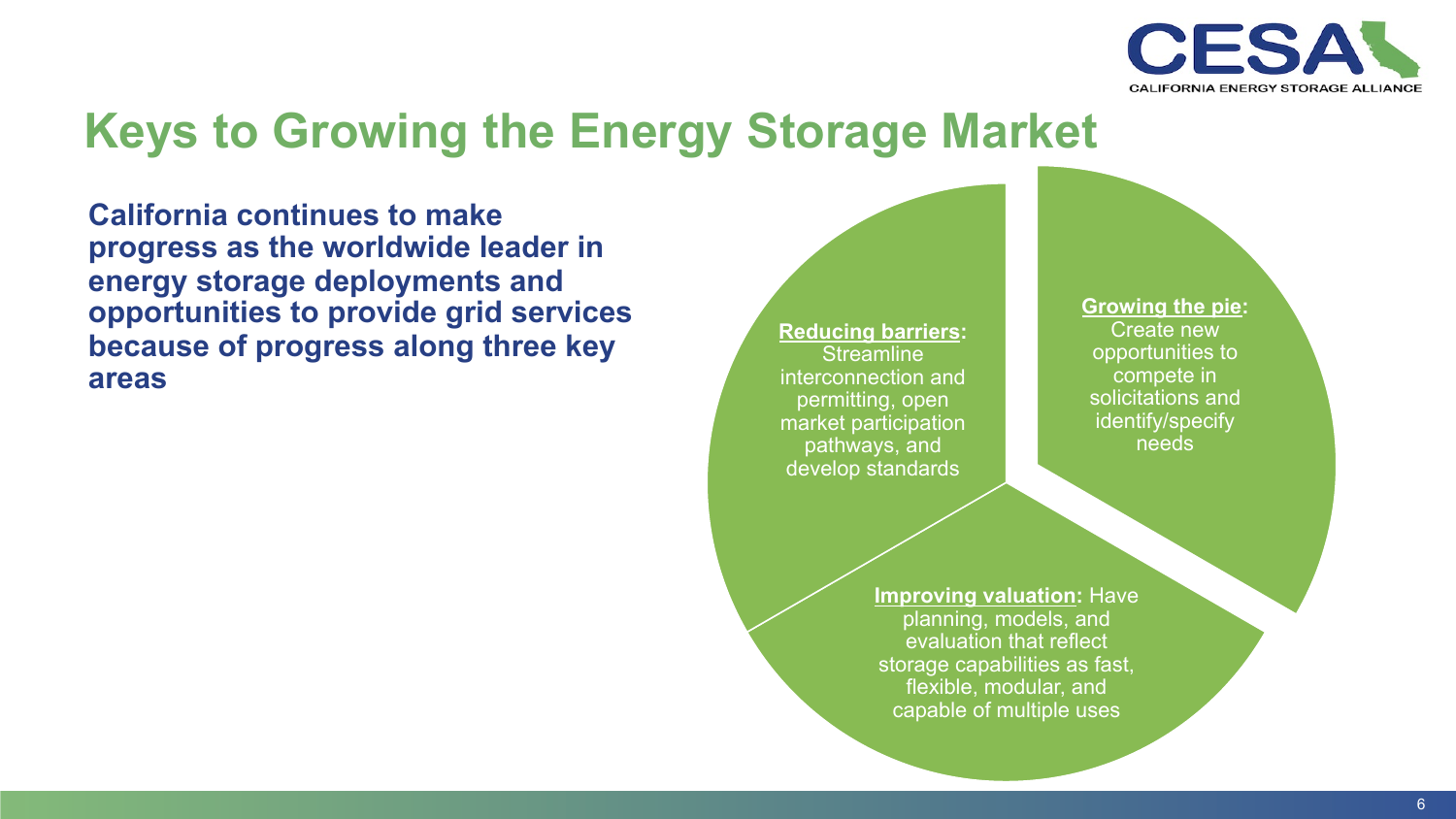

### **Keys to Growing the Energy Storage Market**

**California continues to make progress as the worldwide leader in energy storage deployments and opportunities to provide grid services because of progress along three key areas** 

**Reducing barriers: Streamline** interconnection and permitting, open market participation pathways, and develop standards

**Growing the pie:**  Create new opportunities to compete in solicitations and identify/specify needs

**Improving valuation:** Have planning, models, and evaluation that reflect storage capabilities as fast, flexible, modular, and capable of multiple uses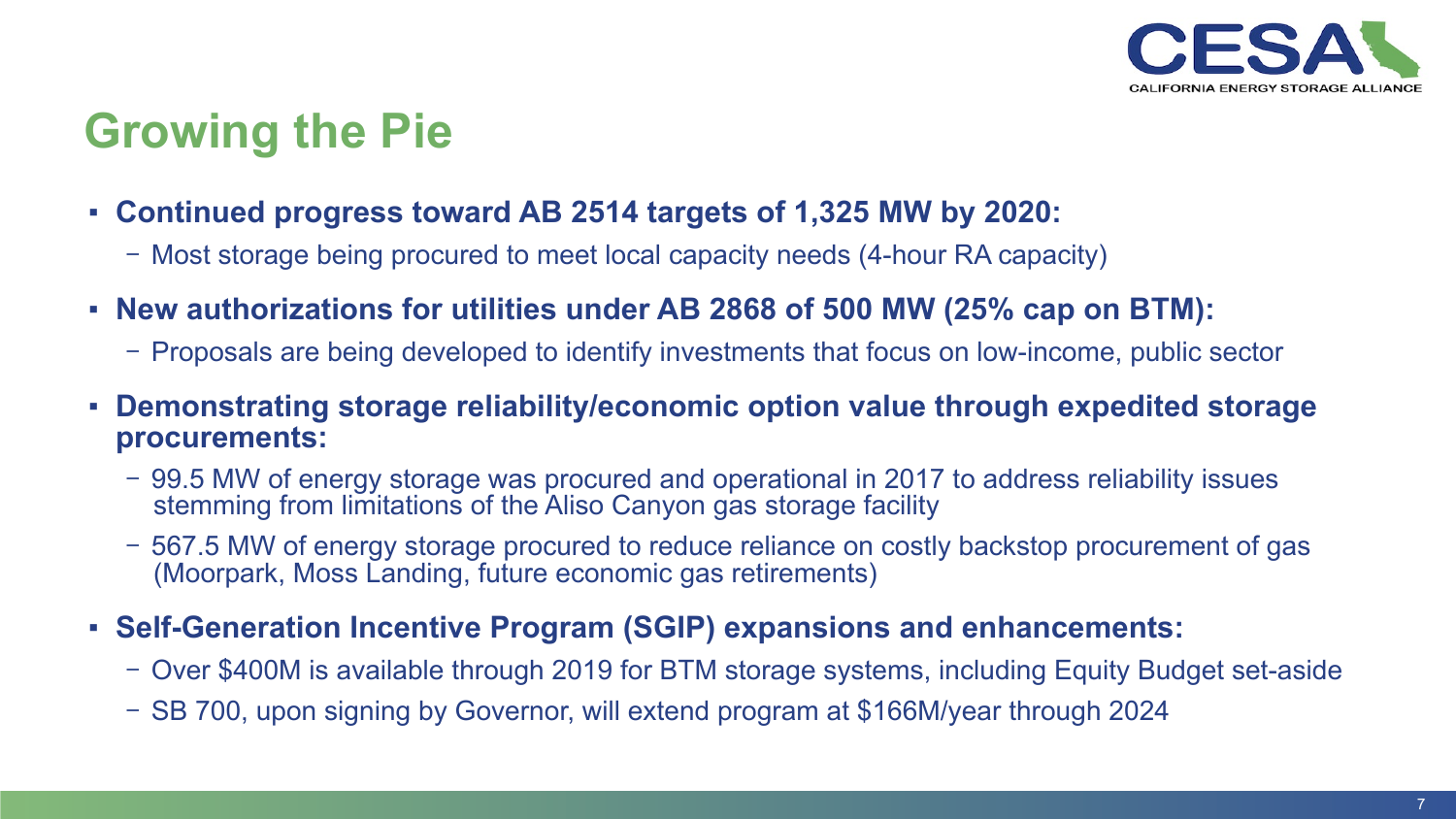

## **Growing the Pie**

- **Continued progress toward AB 2514 targets of 1,325 MW by 2020:** 
	- Most storage being procured to meet local capacity needs (4-hour RA capacity)
- **New authorizations for utilities under AB 2868 of 500 MW (25% cap on BTM):** 
	- Proposals are being developed to identify investments that focus on low-income, public sector
- **Demonstrating storage reliability/economic option value through expedited storage procurements:** 
	- 99.5 MW of energy storage was procured and operational in 2017 to address reliability issues stemming from limitations of the Aliso Canyon gas storage facility
	- 567.5 MW of energy storage procured to reduce reliance on costly backstop procurement of gas (Moorpark, Moss Landing, future economic gas retirements)
- **Self-Generation Incentive Program (SGIP) expansions and enhancements:** 
	- Over \$400M is available through 2019 for BTM storage systems, including Equity Budget set-aside
	- SB 700, upon signing by Governor, will extend program at \$166M/year through 2024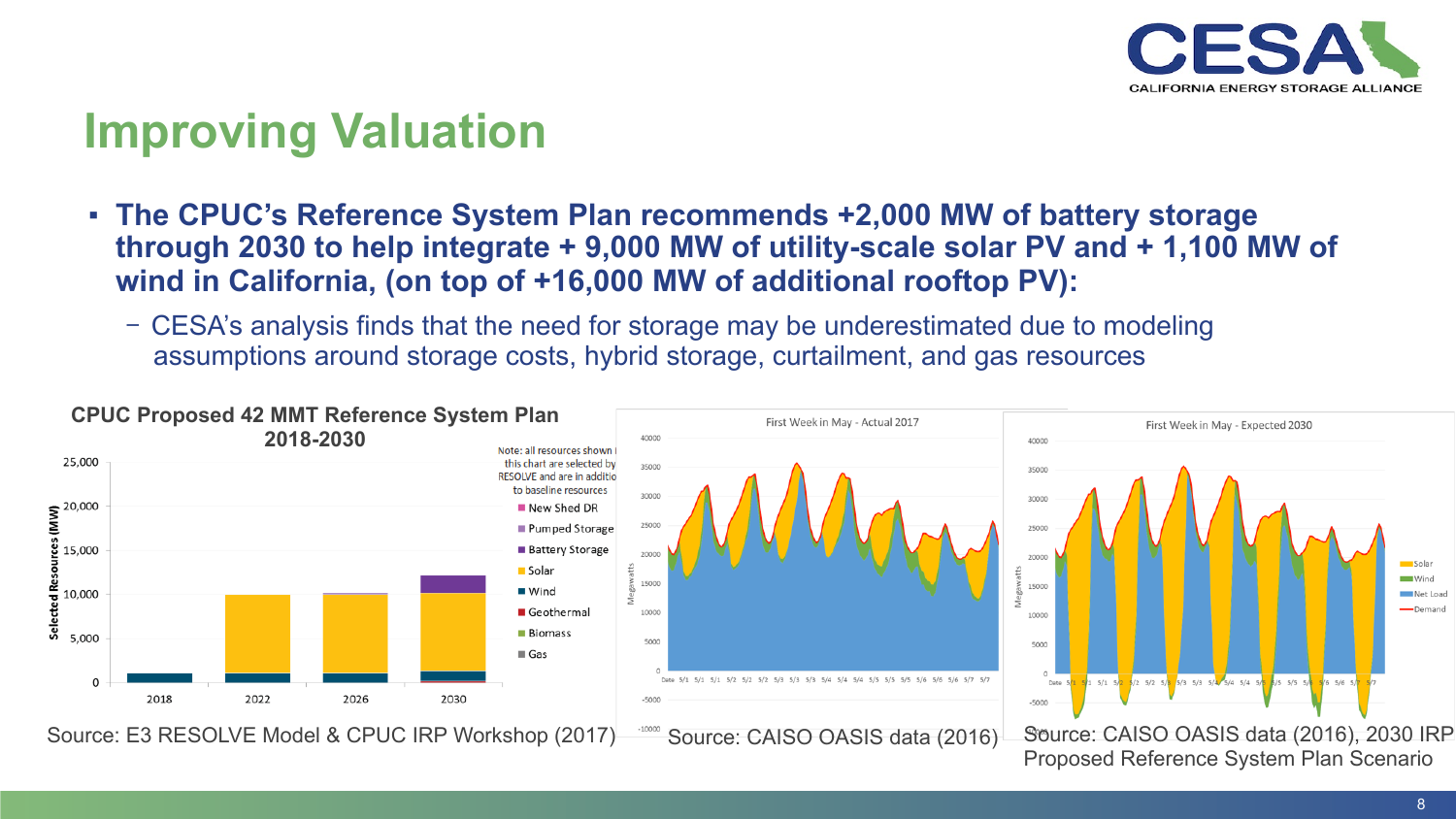

### **Improving Valuation**

- **The CPUC's Reference System Plan recommends +2,000 MW of battery storage through 2030 to help integrate + 9,000 MW of utility-scale solar PV and + 1,100 MW of wind in California, (on top of +16,000 MW of additional rooftop PV):** 
	- CESA's analysis finds that the need for storage may be underestimated due to modeling assumptions around storage costs, hybrid storage, curtailment, and gas resources

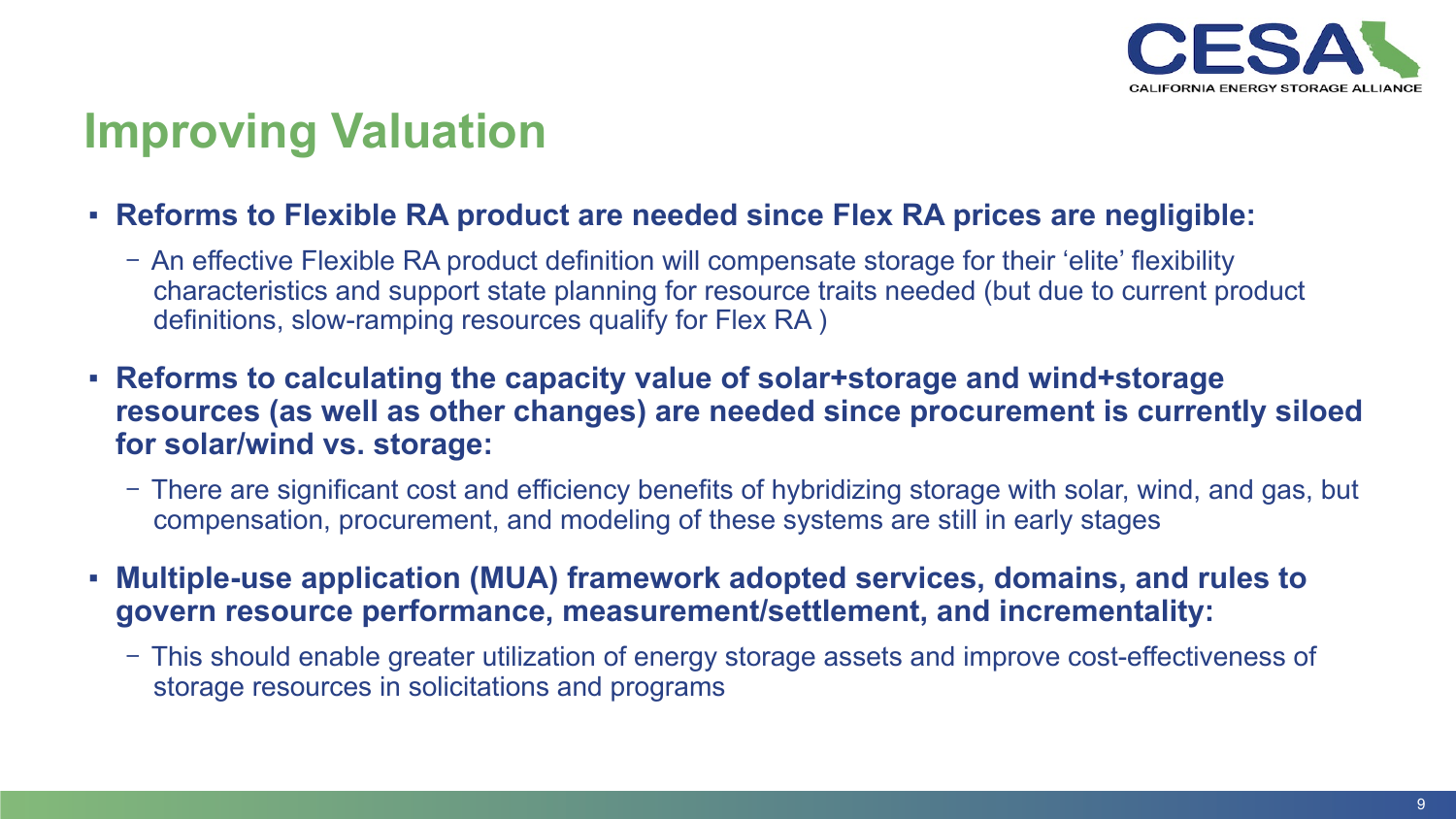

### **Improving Valuation**

- **Reforms to Flexible RA product are needed since Flex RA prices are negligible:** 
	- An effective Flexible RA product definition will compensate storage for their 'elite' flexibility characteristics and support state planning for resource traits needed (but due to current product definitions, slow-ramping resources qualify for Flex RA )
- **Reforms to calculating the capacity value of solar+storage and wind+storage resources (as well as other changes) are needed since procurement is currently siloed for solar/wind vs. storage:** 
	- There are significant cost and efficiency benefits of hybridizing storage with solar, wind, and gas, but compensation, procurement, and modeling of these systems are still in early stages
- **Multiple-use application (MUA) framework adopted services, domains, and rules to govern resource performance, measurement/settlement, and incrementality:** 
	- This should enable greater utilization of energy storage assets and improve cost-effectiveness of storage resources in solicitations and programs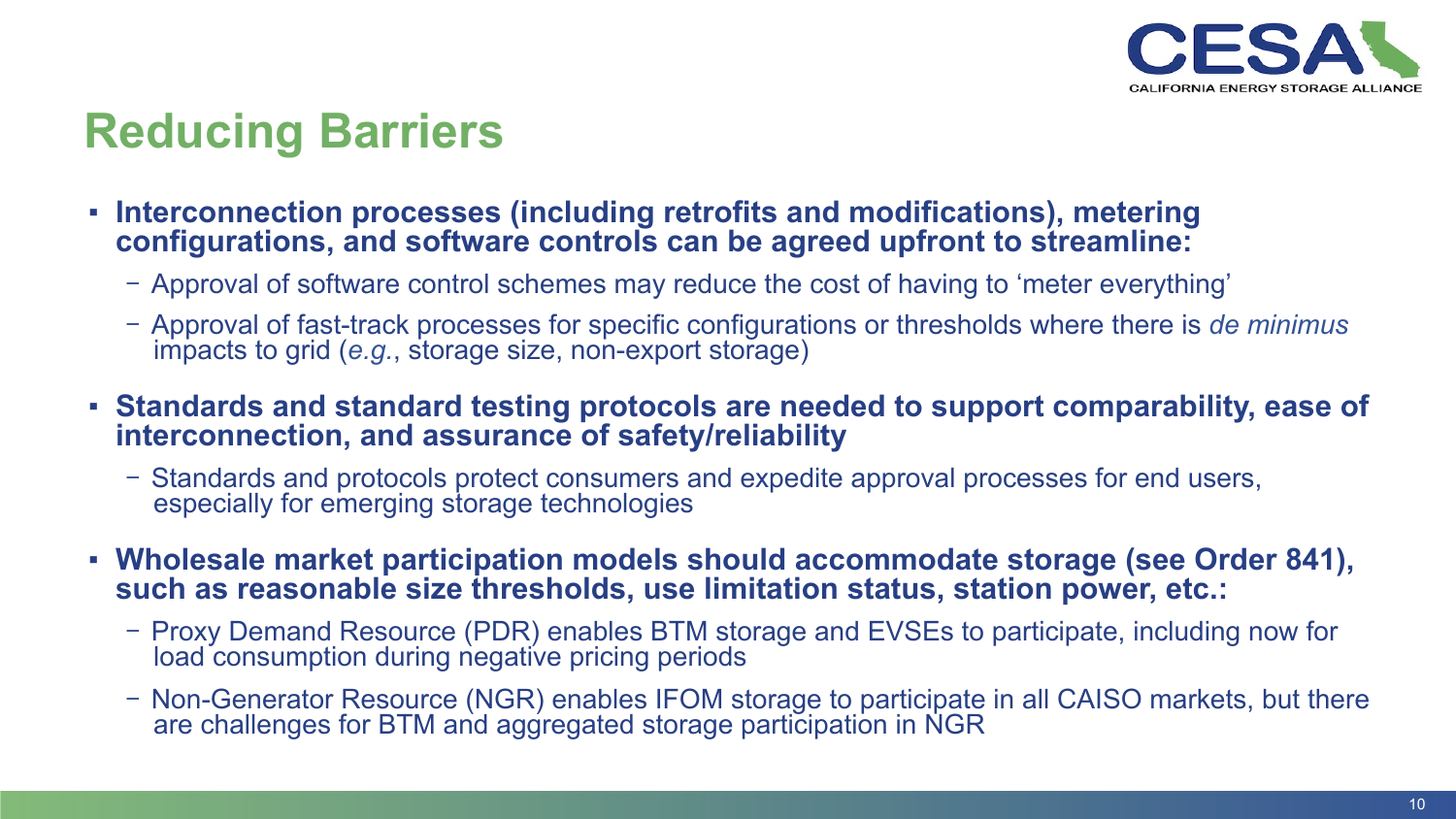

### **Reducing Barriers**

- **Interconnection processes (including retrofits and modifications), metering configurations, and software controls can be agreed upfront to streamline:** 
	- Approval of software control schemes may reduce the cost of having to 'meter everything'
	- Approval of fast-track processes for specific configurations or thresholds where there is *de minimus*  impacts to grid (*e.g.*, storage size, non-export storage)
- **Standards and standard testing protocols are needed to support comparability, ease of interconnection, and assurance of safety/reliability** 
	- Standards and protocols protect consumers and expedite approval processes for end users, especially for emerging storage technologies
- **Wholesale market participation models should accommodate storage (see Order 841), such as reasonable size thresholds, use limitation status, station power, etc.:** 
	- Proxy Demand Resource (PDR) enables BTM storage and EVSEs to participate, including now for load consumption during negative pricing periods
	- Non-Generator Resource (NGR) enables IFOM storage to participate in all CAISO markets, but there are challenges for BTM and aggregated storage participation in NGR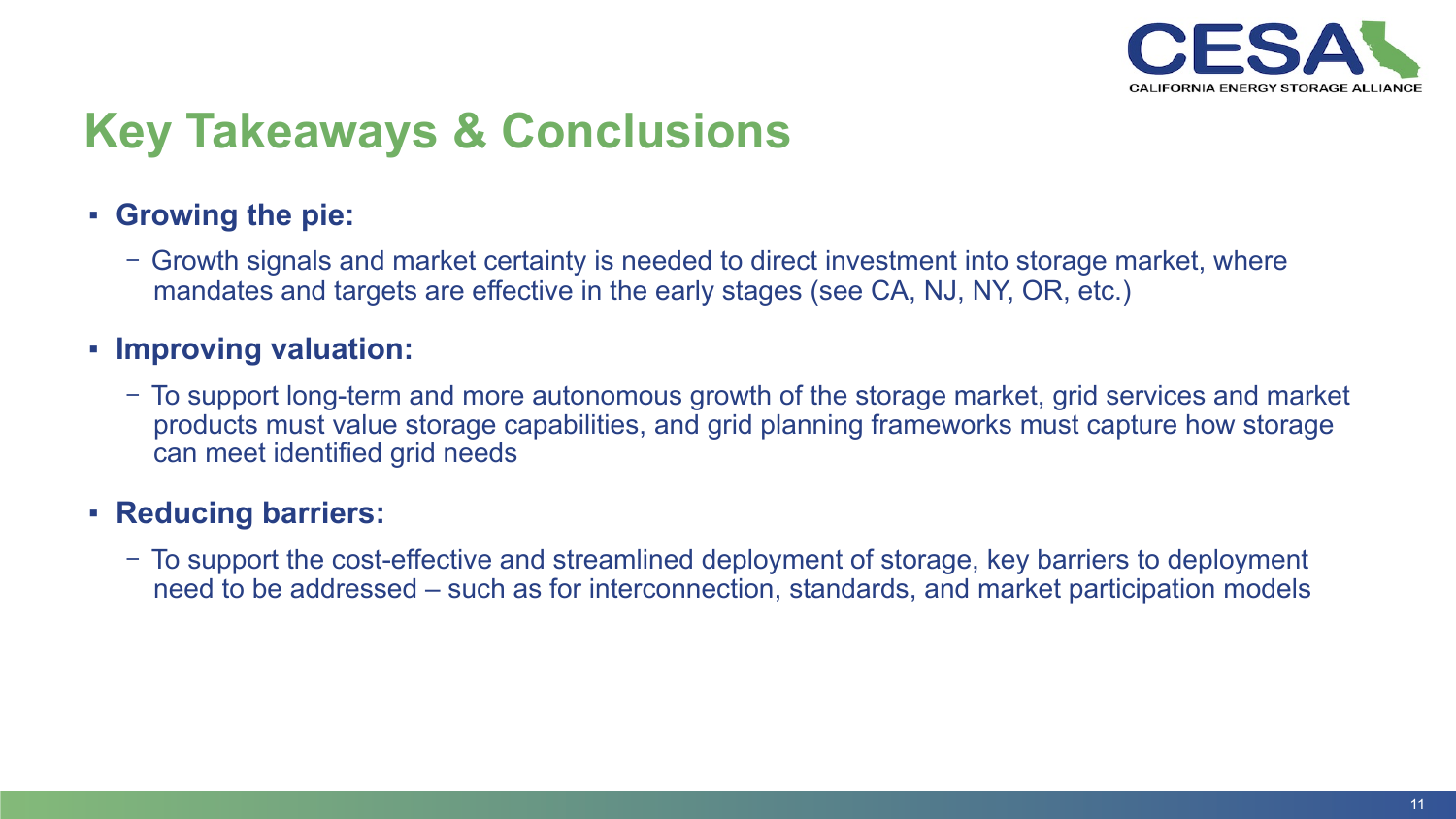

## **Key Takeaways & Conclusions**

#### ▪ **Growing the pie:**

- Growth signals and market certainty is needed to direct investment into storage market, where mandates and targets are effective in the early stages (see CA, NJ, NY, OR, etc.)

#### ▪ **Improving valuation:**

- To support long-term and more autonomous growth of the storage market, grid services and market products must value storage capabilities, and grid planning frameworks must capture how storage can meet identified grid needs

#### ▪ **Reducing barriers:**

- To support the cost-effective and streamlined deployment of storage, key barriers to deployment need to be addressed – such as for interconnection, standards, and market participation models